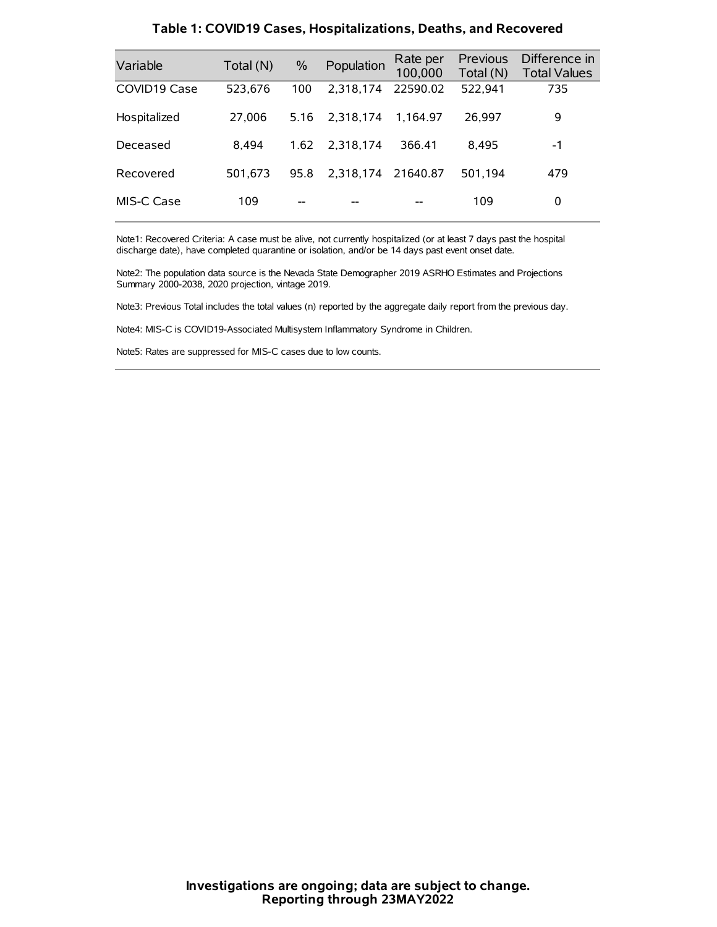| Variable     | Total (N) | $\%$ | Population | Rate per<br>100,000 | Previous<br>Total (N) | Difference in<br><b>Total Values</b> |
|--------------|-----------|------|------------|---------------------|-----------------------|--------------------------------------|
| COVID19 Case | 523,676   | 100  | 2.318.174  | 22590.02            | 522,941               | 735                                  |
| Hospitalized | 27,006    | 5.16 | 2.318.174  | 1.164.97            | 26.997                | 9                                    |
| Deceased     | 8.494     | 1.62 | 2.318.174  | 366.41              | 8.495                 | -1                                   |
| Recovered    | 501.673   | 95.8 | 2.318.174  | 21640.87            | 501.194               | 479                                  |
| MIS-C Case   | 109       | --   |            |                     | 109                   | 0                                    |

### **Table 1: COVID19 Cases, Hospitalizations, Deaths, and Recovered**

Note1: Recovered Criteria: A case must be alive, not currently hospitalized (or at least 7 days past the hospital discharge date), have completed quarantine or isolation, and/or be 14 days past event onset date.

Note2: The population data source is the Nevada State Demographer 2019 ASRHO Estimates and Projections Summary 2000-2038, 2020 projection, vintage 2019.

Note3: Previous Total includes the total values (n) reported by the aggregate daily report from the previous day.

Note4: MIS-C is COVID19-Associated Multisystem Inflammatory Syndrome in Children.

Note5: Rates are suppressed for MIS-C cases due to low counts.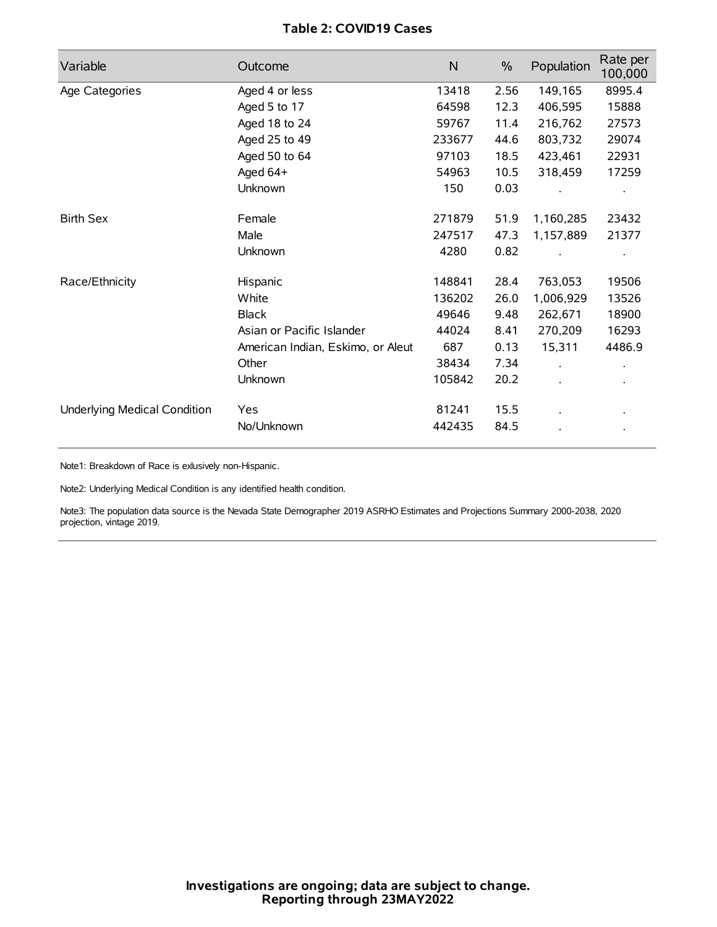# **Table 2: COVID19 Cases**

| Variable                     | Outcome                           | $\mathsf{N}$ | $\%$ | Population           | Rate per<br>100,000 |
|------------------------------|-----------------------------------|--------------|------|----------------------|---------------------|
| Age Categories               | Aged 4 or less                    | 13418        | 2.56 | 149,165              | 8995.4              |
|                              | Aged 5 to 17                      | 64598        | 12.3 | 406,595              | 15888               |
|                              | Aged 18 to 24                     | 59767        | 11.4 | 216,762              | 27573               |
|                              | Aged 25 to 49                     | 233677       | 44.6 | 803,732              | 29074               |
|                              | Aged 50 to 64                     | 97103        | 18.5 | 423,461              | 22931               |
|                              | Aged 64+                          | 54963        | 10.5 | 318,459              | 17259               |
|                              | Unknown                           | 150          | 0.03 |                      |                     |
| <b>Birth Sex</b>             | Female                            | 271879       | 51.9 | 1,160,285            | 23432               |
|                              | Male                              | 247517       | 47.3 | 1,157,889            | 21377               |
|                              | Unknown                           | 4280         | 0.82 |                      |                     |
| Race/Ethnicity               | Hispanic                          | 148841       | 28.4 | 763,053              | 19506               |
|                              | White                             | 136202       | 26.0 | 1,006,929            | 13526               |
|                              | <b>Black</b>                      | 49646        | 9.48 | 262,671              | 18900               |
|                              | Asian or Pacific Islander         | 44024        | 8.41 | 270,209              | 16293               |
|                              | American Indian, Eskimo, or Aleut | 687          | 0.13 | 15,311               | 4486.9              |
|                              | Other                             | 38434        | 7.34 | $\ddot{\phantom{0}}$ |                     |
|                              | Unknown                           | 105842       | 20.2 | ÷.                   |                     |
| Underlying Medical Condition | Yes                               | 81241        | 15.5 |                      |                     |
|                              | No/Unknown                        | 442435       | 84.5 |                      |                     |

Note1: Breakdown of Race is exlusively non-Hispanic.

Note2: Underlying Medical Condition is any identified health condition.

Note3: The population data source is the Nevada State Demographer 2019 ASRHO Estimates and Projections Summary 2000-2038, 2020 projection, vintage 2019.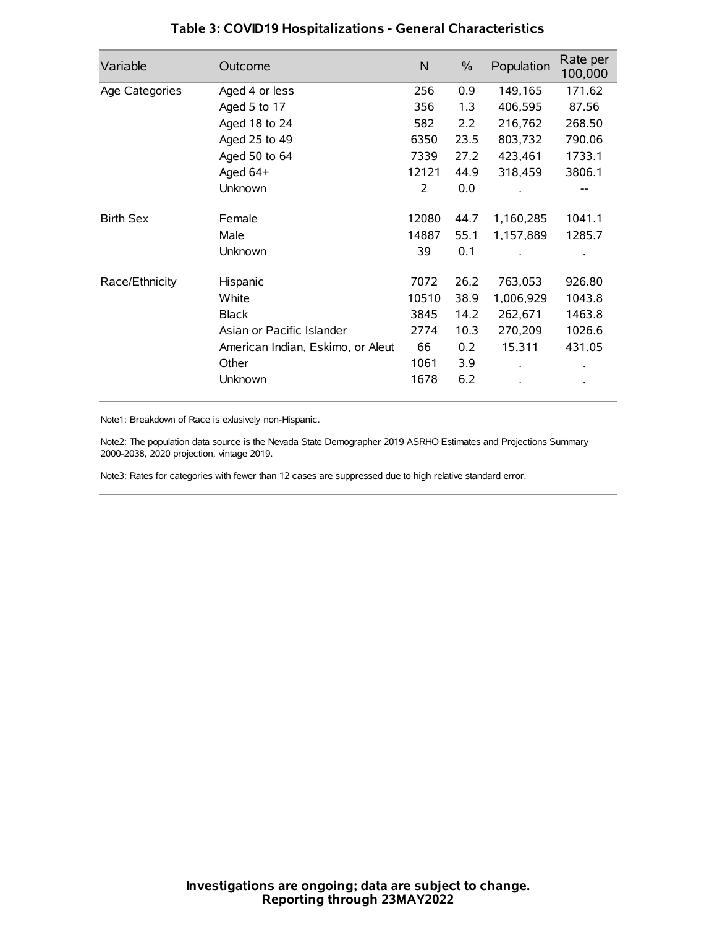| Variable         | Outcome                           | N     | $\%$ | Population | Rate per<br>100,000 |
|------------------|-----------------------------------|-------|------|------------|---------------------|
| Age Categories   | Aged 4 or less                    | 256   | 0.9  | 149,165    | 171.62              |
|                  | Aged 5 to 17                      | 356   | 1.3  | 406,595    | 87.56               |
|                  | Aged 18 to 24                     | 582   | 2.2  | 216,762    | 268.50              |
|                  | Aged 25 to 49                     | 6350  | 23.5 | 803,732    | 790.06              |
|                  | Aged 50 to 64                     | 7339  | 27.2 | 423,461    | 1733.1              |
|                  | Aged 64+                          | 12121 | 44.9 | 318,459    | 3806.1              |
|                  | Unknown                           | 2     | 0.0  |            |                     |
| <b>Birth Sex</b> | Female                            | 12080 | 44.7 | 1,160,285  | 1041.1              |
|                  | Male                              | 14887 | 55.1 | 1,157,889  | 1285.7              |
|                  | Unknown                           | 39    | 0.1  |            |                     |
| Race/Ethnicity   | Hispanic                          | 7072  | 26.2 | 763,053    | 926.80              |
|                  | White                             | 10510 | 38.9 | 1,006,929  | 1043.8              |
|                  | <b>Black</b>                      | 3845  | 14.2 | 262,671    | 1463.8              |
|                  | Asian or Pacific Islander         | 2774  | 10.3 | 270,209    | 1026.6              |
|                  | American Indian, Eskimo, or Aleut | 66    | 0.2  | 15,311     | 431.05              |
|                  | Other                             | 1061  | 3.9  |            |                     |
|                  | Unknown                           | 1678  | 6.2  |            |                     |

# **Table 3: COVID19 Hospitalizations - General Characteristics**

Note1: Breakdown of Race is exlusively non-Hispanic.

Note2: The population data source is the Nevada State Demographer 2019 ASRHO Estimates and Projections Summary 2000-2038, 2020 projection, vintage 2019.

Note3: Rates for categories with fewer than 12 cases are suppressed due to high relative standard error.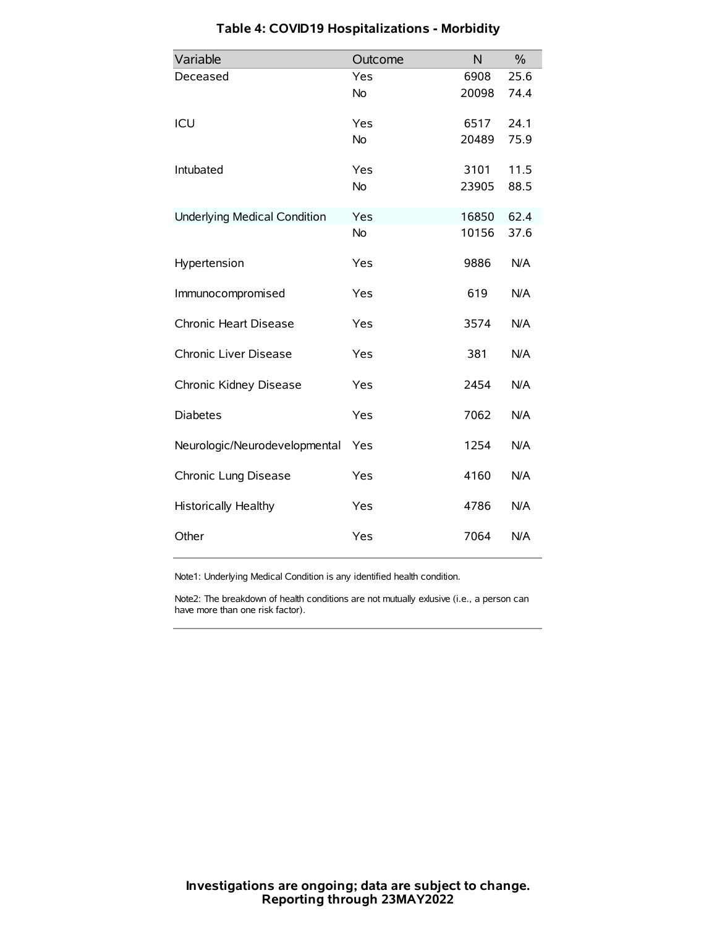| Variable                            | Outcome   | N     | $\frac{0}{0}$ |
|-------------------------------------|-----------|-------|---------------|
| Deceased                            | Yes       | 6908  | 25.6          |
|                                     | No        | 20098 | 74.4          |
| ICU                                 | Yes       | 6517  | 24.1          |
|                                     | <b>No</b> | 20489 | 75.9          |
| Intubated                           | Yes       | 3101  | 11.5          |
|                                     | No        | 23905 | 88.5          |
| <b>Underlying Medical Condition</b> | Yes       | 16850 | 62.4          |
|                                     | <b>No</b> | 10156 | 37.6          |
| Hypertension                        | Yes       | 9886  | N/A           |
| Immunocompromised                   | Yes       | 619   | N/A           |
| Chronic Heart Disease               | Yes       | 3574  | N/A           |
| Chronic Liver Disease               | Yes       | 381   | N/A           |
| Chronic Kidney Disease              | Yes       | 2454  | N/A           |
| <b>Diabetes</b>                     | Yes       | 7062  | N/A           |
| Neurologic/Neurodevelopmental       | Yes       | 1254  | N/A           |
| Chronic Lung Disease                | Yes       | 4160  | N/A           |
| Historically Healthy                | Yes       | 4786  | N/A           |
| Other                               | Yes       | 7064  | N/A           |

# **Table 4: COVID19 Hospitalizations - Morbidity**

Note1: Underlying Medical Condition is any identified health condition.

Note2: The breakdown of health conditions are not mutually exlusive (i.e., a person can have more than one risk factor).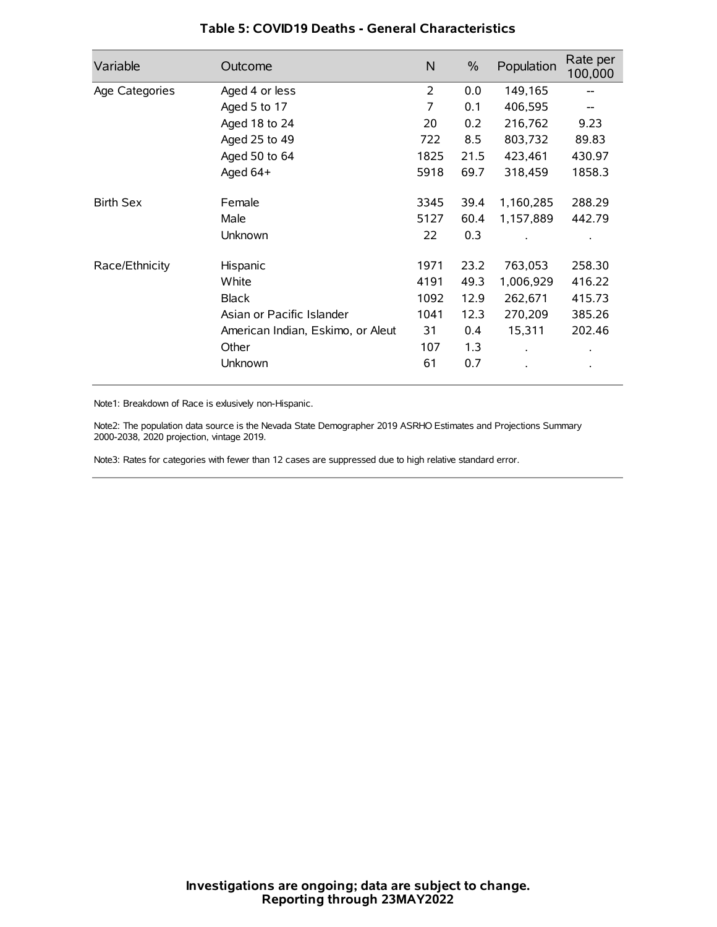| Variable         | Outcome                           | N    | $\%$ | Population           | Rate per<br>100,000 |
|------------------|-----------------------------------|------|------|----------------------|---------------------|
| Age Categories   | Aged 4 or less                    | 2    | 0.0  | 149,165              |                     |
|                  | Aged 5 to 17                      | 7    | 0.1  | 406,595              |                     |
|                  | Aged 18 to 24                     | 20   | 0.2  | 216,762              | 9.23                |
|                  | Aged 25 to 49                     | 722  | 8.5  | 803,732              | 89.83               |
|                  | Aged 50 to 64                     | 1825 | 21.5 | 423,461              | 430.97              |
|                  | Aged 64+                          | 5918 | 69.7 | 318,459              | 1858.3              |
| <b>Birth Sex</b> | Female                            | 3345 | 39.4 | 1,160,285            | 288.29              |
|                  | Male                              | 5127 | 60.4 | 1,157,889            | 442.79              |
|                  | Unknown                           | 22   | 0.3  |                      |                     |
| Race/Ethnicity   | Hispanic                          | 1971 | 23.2 | 763,053              | 258.30              |
|                  | White                             | 4191 | 49.3 | 1,006,929            | 416.22              |
|                  | <b>Black</b>                      | 1092 | 12.9 | 262,671              | 415.73              |
|                  | Asian or Pacific Islander         | 1041 | 12.3 | 270,209              | 385.26              |
|                  | American Indian, Eskimo, or Aleut | 31   | 0.4  | 15,311               | 202.46              |
|                  | Other                             | 107  | 1.3  | $\ddot{\phantom{0}}$ | $\bullet$           |
|                  | Unknown                           | 61   | 0.7  |                      | $\bullet$           |

## **Table 5: COVID19 Deaths - General Characteristics**

Note1: Breakdown of Race is exlusively non-Hispanic.

Note2: The population data source is the Nevada State Demographer 2019 ASRHO Estimates and Projections Summary 2000-2038, 2020 projection, vintage 2019.

Note3: Rates for categories with fewer than 12 cases are suppressed due to high relative standard error.